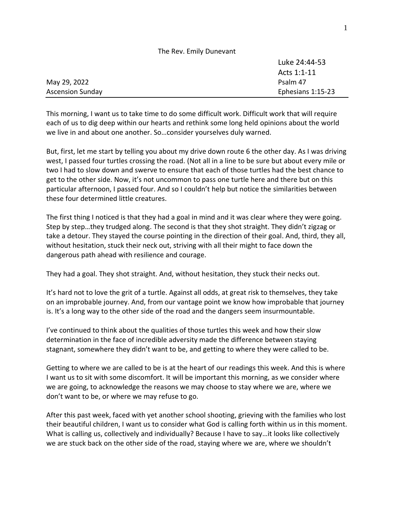|                         | The Rev. Emily Dunevant |
|-------------------------|-------------------------|
|                         | Luke 24:44-53           |
|                         | Acts 1:1-11             |
| May 29, 2022            | Psalm 47                |
| <b>Ascension Sunday</b> | Ephesians 1:15-23       |

This morning, I want us to take time to do some difficult work. Difficult work that will require each of us to dig deep within our hearts and rethink some long held opinions about the world we live in and about one another. So…consider yourselves duly warned.

But, first, let me start by telling you about my drive down route 6 the other day. As I was driving west, I passed four turtles crossing the road. (Not all in a line to be sure but about every mile or two I had to slow down and swerve to ensure that each of those turtles had the best chance to get to the other side. Now, it's not uncommon to pass one turtle here and there but on this particular afternoon, I passed four. And so I couldn't help but notice the similarities between these four determined little creatures.

The first thing I noticed is that they had a goal in mind and it was clear where they were going. Step by step…they trudged along. The second is that they shot straight. They didn't zigzag or take a detour. They stayed the course pointing in the direction of their goal. And, third, they all, without hesitation, stuck their neck out, striving with all their might to face down the dangerous path ahead with resilience and courage.

They had a goal. They shot straight. And, without hesitation, they stuck their necks out.

It's hard not to love the grit of a turtle. Against all odds, at great risk to themselves, they take on an improbable journey. And, from our vantage point we know how improbable that journey is. It's a long way to the other side of the road and the dangers seem insurmountable.

I've continued to think about the qualities of those turtles this week and how their slow determination in the face of incredible adversity made the difference between staying stagnant, somewhere they didn't want to be, and getting to where they were called to be.

Getting to where we are called to be is at the heart of our readings this week. And this is where I want us to sit with some discomfort. It will be important this morning, as we consider where we are going, to acknowledge the reasons we may choose to stay where we are, where we don't want to be, or where we may refuse to go.

After this past week, faced with yet another school shooting, grieving with the families who lost their beautiful children, I want us to consider what God is calling forth within us in this moment. What is calling us, collectively and individually? Because I have to say…it looks like collectively we are stuck back on the other side of the road, staying where we are, where we shouldn't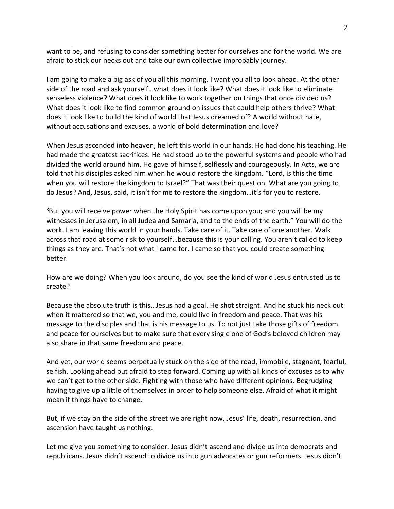want to be, and refusing to consider something better for ourselves and for the world. We are afraid to stick our necks out and take our own collective improbably journey.

I am going to make a big ask of you all this morning. I want you all to look ahead. At the other side of the road and ask yourself…what does it look like? What does it look like to eliminate senseless violence? What does it look like to work together on things that once divided us? What does it look like to find common ground on issues that could help others thrive? What does it look like to build the kind of world that Jesus dreamed of? A world without hate, without accusations and excuses, a world of bold determination and love?

When Jesus ascended into heaven, he left this world in our hands. He had done his teaching. He had made the greatest sacrifices. He had stood up to the powerful systems and people who had divided the world around him. He gave of himself, selflessly and courageously. In Acts, we are told that his disciples asked him when he would restore the kingdom. "Lord, is this the time when you will restore the kingdom to Israel?" That was their question. What are you going to do Jesus? And, Jesus, said, it isn't for me to restore the kingdom…it's for you to restore.

<sup>8</sup>But you will receive power when the Holy Spirit has come upon you; and you will be my witnesses in Jerusalem, in all Judea and Samaria, and to the ends of the earth." You will do the work. I am leaving this world in your hands. Take care of it. Take care of one another. Walk across that road at some risk to yourself…because this is your calling. You aren't called to keep things as they are. That's not what I came for. I came so that you could create something better.

How are we doing? When you look around, do you see the kind of world Jesus entrusted us to create?

Because the absolute truth is this…Jesus had a goal. He shot straight. And he stuck his neck out when it mattered so that we, you and me, could live in freedom and peace. That was his message to the disciples and that is his message to us. To not just take those gifts of freedom and peace for ourselves but to make sure that every single one of God's beloved children may also share in that same freedom and peace.

And yet, our world seems perpetually stuck on the side of the road, immobile, stagnant, fearful, selfish. Looking ahead but afraid to step forward. Coming up with all kinds of excuses as to why we can't get to the other side. Fighting with those who have different opinions. Begrudging having to give up a little of themselves in order to help someone else. Afraid of what it might mean if things have to change.

But, if we stay on the side of the street we are right now, Jesus' life, death, resurrection, and ascension have taught us nothing.

Let me give you something to consider. Jesus didn't ascend and divide us into democrats and republicans. Jesus didn't ascend to divide us into gun advocates or gun reformers. Jesus didn't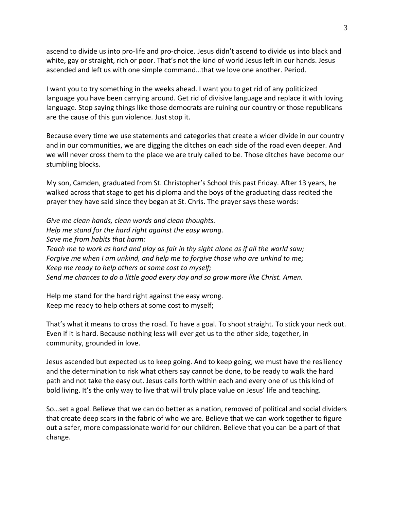ascend to divide us into pro-life and pro-choice. Jesus didn't ascend to divide us into black and white, gay or straight, rich or poor. That's not the kind of world Jesus left in our hands. Jesus ascended and left us with one simple command…that we love one another. Period.

I want you to try something in the weeks ahead. I want you to get rid of any politicized language you have been carrying around. Get rid of divisive language and replace it with loving language. Stop saying things like those democrats are ruining our country or those republicans are the cause of this gun violence. Just stop it.

Because every time we use statements and categories that create a wider divide in our country and in our communities, we are digging the ditches on each side of the road even deeper. And we will never cross them to the place we are truly called to be. Those ditches have become our stumbling blocks.

My son, Camden, graduated from St. Christopher's School this past Friday. After 13 years, he walked across that stage to get his diploma and the boys of the graduating class recited the prayer they have said since they began at St. Chris. The prayer says these words:

*Give me clean hands, clean words and clean thoughts. Help me stand for the hard right against the easy wrong. Save me from habits that harm: Teach me to work as hard and play as fair in thy sight alone as if all the world saw; Forgive me when I am unkind, and help me to forgive those who are unkind to me; Keep me ready to help others at some cost to myself; Send me chances to do a little good every day and so grow more like Christ. Amen.*

Help me stand for the hard right against the easy wrong. Keep me ready to help others at some cost to myself;

That's what it means to cross the road. To have a goal. To shoot straight. To stick your neck out. Even if it is hard. Because nothing less will ever get us to the other side, together, in community, grounded in love.

Jesus ascended but expected us to keep going. And to keep going, we must have the resiliency and the determination to risk what others say cannot be done, to be ready to walk the hard path and not take the easy out. Jesus calls forth within each and every one of us this kind of bold living. It's the only way to live that will truly place value on Jesus' life and teaching.

So…set a goal. Believe that we can do better as a nation, removed of political and social dividers that create deep scars in the fabric of who we are. Believe that we can work together to figure out a safer, more compassionate world for our children. Believe that you can be a part of that change.